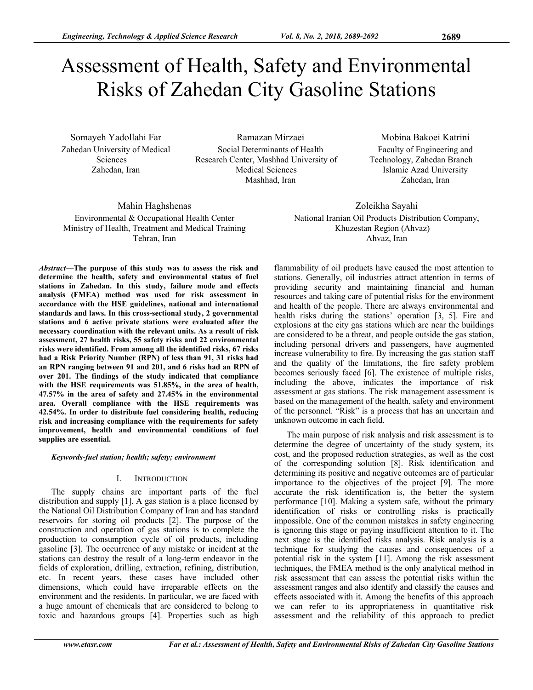# Assessment of Health, Safety and Environmental Risks of Zahedan City Gasoline Stations

Somayeh Yadollahi Far Zahedan University of Medical Sciences Zahedan, Iran

Ramazan Mirzaei Social Determinants of Health Research Center, Mashhad University of Medical Sciences Mashhad, Iran

Mobina Bakoei Katrini Faculty of Engineering and Technology, Zahedan Branch Islamic Azad University Zahedan, Iran

Mahin Haghshenas Environmental & Occupational Health Center Ministry of Health, Treatment and Medical Training Tehran, Iran

Zoleikha Sayahi National Iranian Oil Products Distribution Company, Khuzestan Region (Ahvaz) Ahvaz, Iran

*Abstract***—The purpose of this study was to assess the risk and determine the health, safety and environmental status of fuel stations in Zahedan. In this study, failure mode and effects analysis (FMEA) method was used for risk assessment in accordance with the HSE guidelines, national and international standards and laws. In this cross-sectional study, 2 governmental stations and 6 active private stations were evaluated after the necessary coordination with the relevant units. As a result of risk assessment, 27 health risks, 55 safety risks and 22 environmental risks were identified. From among all the identified risks, 67 risks had a Risk Priority Number (RPN) of less than 91, 31 risks had an RPN ranging between 91 and 201, and 6 risks had an RPN of over 201. The findings of the study indicated that compliance with the HSE requirements was 51.85%, in the area of health, 47.57% in the area of safety and 27.45% in the environmental area. Overall compliance with the HSE requirements was 42.54%. In order to distribute fuel considering health, reducing risk and increasing compliance with the requirements for safety improvement, health and environmental conditions of fuel supplies are essential.** 

## *Keywords-fuel station; health; safety; environment*

## I. INTRODUCTION

The supply chains are important parts of the fuel distribution and supply [1]. A gas station is a place licensed by the National Oil Distribution Company of Iran and has standard reservoirs for storing oil products [2]. The purpose of the construction and operation of gas stations is to complete the production to consumption cycle of oil products, including gasoline [3]. The occurrence of any mistake or incident at the stations can destroy the result of a long-term endeavor in the fields of exploration, drilling, extraction, refining, distribution, etc. In recent years, these cases have included other dimensions, which could have irreparable effects on the environment and the residents. In particular, we are faced with a huge amount of chemicals that are considered to belong to toxic and hazardous groups [4]. Properties such as high

flammability of oil products have caused the most attention to stations. Generally, oil industries attract attention in terms of providing security and maintaining financial and human resources and taking care of potential risks for the environment and health of the people. There are always environmental and health risks during the stations' operation [3, 5]. Fire and explosions at the city gas stations which are near the buildings are considered to be a threat, and people outside the gas station, including personal drivers and passengers, have augmented increase vulnerability to fire. By increasing the gas station staff and the quality of the limitations, the fire safety problem becomes seriously faced [6]. The existence of multiple risks, including the above, indicates the importance of risk assessment at gas stations. The risk management assessment is based on the management of the health, safety and environment of the personnel. "Risk" is a process that has an uncertain and unknown outcome in each field.

The main purpose of risk analysis and risk assessment is to determine the degree of uncertainty of the study system, its cost, and the proposed reduction strategies, as well as the cost of the corresponding solution [8]. Risk identification and determining its positive and negative outcomes are of particular importance to the objectives of the project [9]. The more accurate the risk identification is, the better the system performance [10]. Making a system safe, without the primary identification of risks or controlling risks is practically impossible. One of the common mistakes in safety engineering is ignoring this stage or paying insufficient attention to it. The next stage is the identified risks analysis. Risk analysis is a technique for studying the causes and consequences of a potential risk in the system [11]. Among the risk assessment techniques, the FMEA method is the only analytical method in risk assessment that can assess the potential risks within the assessment ranges and also identify and classify the causes and effects associated with it. Among the benefits of this approach we can refer to its appropriateness in quantitative risk assessment and the reliability of this approach to predict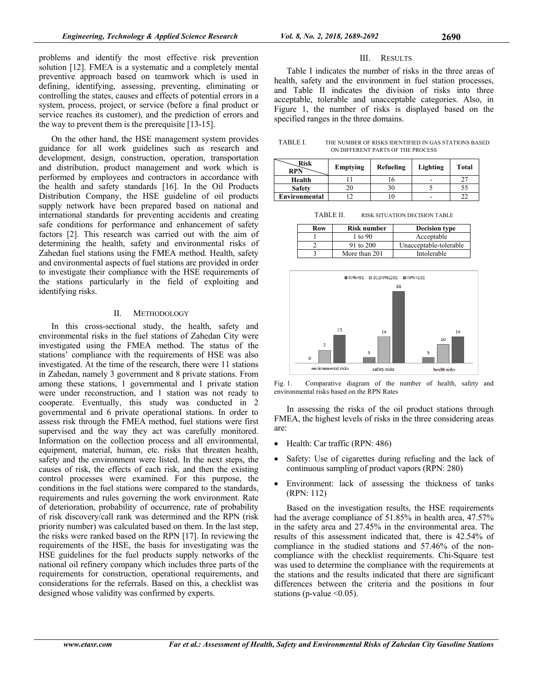problems and identify the most effective risk prevention solution [12]. FMEA is a systematic and a completely mental preventive approach based on teamwork which is used in defining, identifying, assessing, preventing, eliminating or controlling the states, causes and effects of potential errors in a system, process, project, or service (before a final product or service reaches its customer), and the prediction of errors and the way to prevent them is the prerequisite [13-15].

On the other hand, the HSE management system provides guidance for all work guidelines such as research and development, design, construction, operation, transportation and distribution, product management and work which is performed by employees and contractors in accordance with the health and safety standards [16]. In the Oil Products Distribution Company, the HSE guideline of oil products supply network have been prepared based on national and international standards for preventing accidents and creating safe conditions for performance and enhancement of safety factors [2]. This research was carried out with the aim of determining the health, safety and environmental risks of Zahedan fuel stations using the FMEA method. Health, safety and environmental aspects of fuel stations are provided in order to investigate their compliance with the HSE requirements of the stations particularly in the field of exploiting and identifying risks.

## II. METHODOLOGY

In this cross-sectional study, the health, safety and environmental risks in the fuel stations of Zahedan City were investigated using the FMEA method. The status of the stations' compliance with the requirements of HSE was also investigated. At the time of the research, there were 11 stations in Zahedan, namely 3 government and 8 private stations. From among these stations, 1 governmental and 1 private station were under reconstruction, and 1 station was not ready to cooperate. Eventually, this study was conducted in 2 governmental and 6 private operational stations. In order to assess risk through the FMEA method, fuel stations were first supervised and the way they act was carefully monitored. Information on the collection process and all environmental, equipment, material, human, etc. risks that threaten health, safety and the environment were listed. In the next steps, the causes of risk, the effects of each risk, and then the existing control processes were examined. For this purpose, the conditions in the fuel stations were compared to the standards, requirements and rules governing the work environment. Rate of deterioration, probability of occurrence, rate of probability of risk discovery/call rank was determined and the RPN (risk priority number) was calculated based on them. In the last step, the risks were ranked based on the RPN [17]. In reviewing the requirements of the HSE, the basis for investigating was the HSE guidelines for the fuel products supply networks of the national oil refinery company which includes three parts of the requirements for construction, operational requirements, and considerations for the referrals. Based on this, a checklist was designed whose validity was confirmed by experts.

## III. RESULTS

Table I indicates the number of risks in the three areas of health, safety and the environment in fuel station processes. and Table II indicates the division of risks into three acceptable, tolerable and unacceptable categories. Also, in Figure 1, the number of risks is displayed based on the specified ranges in the three domains.

| TABLE I. | THE NUMBER OF RISKS IDENTIFIED IN GAS STATIONS BASED |
|----------|------------------------------------------------------|
|          | ON DIFFERENT PARTS OF THE PROCESS                    |

| <b>Risk</b><br><b>RPN</b> | Emptying | Refueling | Lighting | <b>Total</b> |
|---------------------------|----------|-----------|----------|--------------|
| Health                    |          |           |          |              |
| <b>Safety</b>             |          |           |          |              |
| Environmental             |          |           |          |              |

TABLE II. RISK SITUATION DECISION TABLE

| Row | <b>Risk number</b> | <b>Decision type</b>   |
|-----|--------------------|------------------------|
|     | 1 to 90            | Acceptable             |
|     | 91 to 200          | Unacceptable-tolerable |
|     | More than 201      | Intolerable            |



Fig. 1. Comparative diagram of the number of health, safety and environmental risks based on the RPN Rates

In assessing the risks of the oil product stations through FMEA, the highest levels of risks in the three considering areas are:

- Health: Car traffic (RPN: 486)
- Safety: Use of cigarettes during refueling and the lack of continuous sampling of product vapors (RPN: 280)
- Environment: lack of assessing the thickness of tanks (RPN: 112)

Based on the investigation results, the HSE requirements had the average compliance of 51.85% in health area, 47.57% in the safety area and 27.45% in the environmental area. The results of this assessment indicated that, there is 42.54% of compliance in the studied stations and 57.46% of the noncompliance with the checklist requirements. Chi-Square test was used to determine the compliance with the requirements at the stations and the results indicated that there are significant differences between the criteria and the positions in four stations (p-value  $\leq 0.05$ ).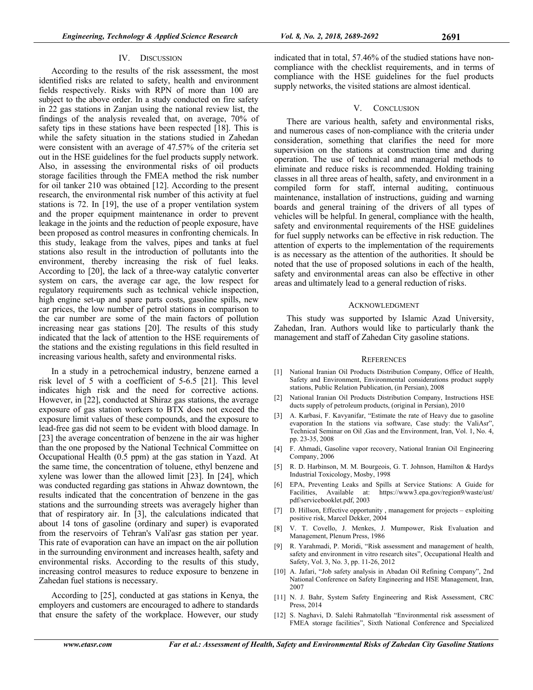According to the results of the risk assessment, the most identified risks are related to safety, health and environment fields respectively. Risks with RPN of more than 100 are subject to the above order. In a study conducted on fire safety in 22 gas stations in Zanjan using the national review list, the findings of the analysis revealed that, on average, 70% of safety tips in these stations have been respected [18]. This is while the safety situation in the stations studied in Zahedan were consistent with an average of 47.57% of the criteria set out in the HSE guidelines for the fuel products supply network. Also, in assessing the environmental risks of oil products storage facilities through the FMEA method the risk number for oil tanker 210 was obtained [12]. According to the present research, the environmental risk number of this activity at fuel stations is 72. In [19], the use of a proper ventilation system and the proper equipment maintenance in order to prevent leakage in the joints and the reduction of people exposure, have been proposed as control measures in confronting chemicals. In this study, leakage from the valves, pipes and tanks at fuel stations also result in the introduction of pollutants into the environment, thereby increasing the risk of fuel leaks. According to [20], the lack of a three-way catalytic converter system on cars, the average car age, the low respect for regulatory requirements such as technical vehicle inspection, high engine set-up and spare parts costs, gasoline spills, new car prices, the low number of petrol stations in comparison to the car number are some of the main factors of pollution increasing near gas stations [20]. The results of this study indicated that the lack of attention to the HSE requirements of the stations and the existing regulations in this field resulted in increasing various health, safety and environmental risks.

In a study in a petrochemical industry, benzene earned a risk level of 5 with a coefficient of 5-6.5 [21]. This level indicates high risk and the need for corrective actions. However, in [22], conducted at Shiraz gas stations, the average exposure of gas station workers to BTX does not exceed the exposure limit values of these compounds, and the exposure to lead-free gas did not seem to be evident with blood damage. In [23] the average concentration of benzene in the air was higher than the one proposed by the National Technical Committee on Occupational Health (0.5 ppm) at the gas station in Yazd. At the same time, the concentration of toluene, ethyl benzene and xylene was lower than the allowed limit [23]. In [24], which was conducted regarding gas stations in Ahwaz downtown, the results indicated that the concentration of benzene in the gas stations and the surrounding streets was averagely higher than that of respiratory air. In [3], the calculations indicated that about 14 tons of gasoline (ordinary and super) is evaporated from the reservoirs of Tehran's Vali'asr gas station per year. This rate of evaporation can have an impact on the air pollution in the surrounding environment and increases health, safety and environmental risks. According to the results of this study, increasing control measures to reduce exposure to benzene in Zahedan fuel stations is necessary.

According to [25], conducted at gas stations in Kenya, the employers and customers are encouraged to adhere to standards that ensure the safety of the workplace. However, our study

indicated that in total, 57.46% of the studied stations have noncompliance with the checklist requirements, and in terms of compliance with the HSE guidelines for the fuel products supply networks, the visited stations are almost identical.

## V. CONCLUSION

There are various health, safety and environmental risks, and numerous cases of non-compliance with the criteria under consideration, something that clarifies the need for more supervision on the stations at construction time and during operation. The use of technical and managerial methods to eliminate and reduce risks is recommended. Holding training classes in all three areas of health, safety, and environment in a compiled form for staff, internal auditing, continuous maintenance, installation of instructions, guiding and warning boards and general training of the drivers of all types of vehicles will be helpful. In general, compliance with the health, safety and environmental requirements of the HSE guidelines for fuel supply networks can be effective in risk reduction. The attention of experts to the implementation of the requirements is as necessary as the attention of the authorities. It should be noted that the use of proposed solutions in each of the health, safety and environmental areas can also be effective in other areas and ultimately lead to a general reduction of risks.

## ACKNOWLEDGMENT

This study was supported by Islamic Azad University, Zahedan, Iran. Authors would like to particularly thank the management and staff of Zahedan City gasoline stations.

## **REFERENCES**

- [1] National Iranian Oil Products Distribution Company, Office of Health, Safety and Environment, Environmental considerations product supply stations, Public Relation Publication, (in Persian), 2008
- [2] National Iranian Oil Products Distribution Company, Instructions HSE ducts supply of petroleum products, (original in Persian), 2010
- [3] A. Karbasi, F. Kavyanifar, "Estimate the rate of Heavy due to gasoline evaporation In the stations via software, Case study: the ValiAsr", Technical Seminar on Oil ,Gas and the Environment, Iran, Vol. 1, No. 4, pp. 23-35, 2008
- [4] F. Ahmadi, Gasoline vapor recovery, National Iranian Oil Engineering Company, 2006
- [5] R. D. Harbinson, M. M. Bourgeois, G. T. Johnson, Hamilton & Hardys Industrial Toxicology, Mosby, 1998
- [6] EPA, Preventing Leaks and Spills at Service Stations: A Guide for Facilities, Available at: https://www3.epa.gov/region9/waste/ust/ pdf/servicebooklet.pdf, 2003
- [7] D. Hillson, Effective opportunity , management for projects exploiting positive risk, Marcel Dekker, 2004
- [8] V. T. Covello, J. Menkes, J. Mumpower, Risk Evaluation and Management, Plenum Press, 1986
- [9] R. Yarahmadi, P. Moridi, "Risk assessment and management of health, safety and environment in vitro research sites", Occupational Health and Safety, Vol. 3, No. 3, pp. 11-26, 2012
- [10] A. Jafari, "Job safety analysis in Abadan Oil Refining Company", 2nd National Conference on Safety Engineering and HSE Management, Iran, 2007
- [11] N. J. Bahr, System Safety Engineering and Risk Assessment, CRC Press, 2014
- [12] S. Naghavi, D. Salehi Rahmatollah "Environmental risk assessment of FMEA storage facilities", Sixth National Conference and Specialized